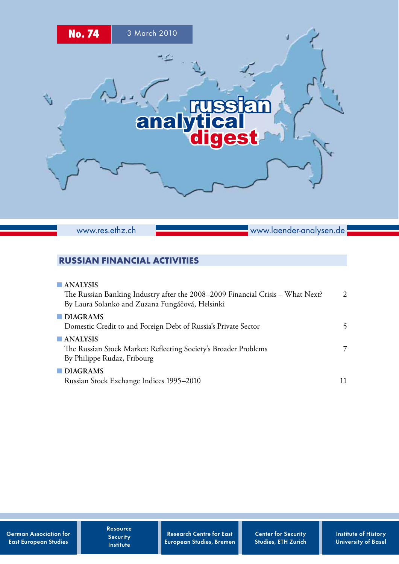

www.res.ethz.ch

www.laender-analysen.de

# Russian Financial Activities

| $\blacksquare$ ANALYSIS<br>The Russian Banking Industry after the 2008-2009 Financial Crisis - What Next?<br>By Laura Solanko and Zuzana Fungáčová, Helsinki | $\mathcal{D}$ |
|--------------------------------------------------------------------------------------------------------------------------------------------------------------|---------------|
| $\blacksquare$ DIAGRAMS<br>Domestic Credit to and Foreign Debt of Russia's Private Sector                                                                    |               |
| $\blacksquare$ ANALYSIS<br>The Russian Stock Market: Reflecting Society's Broader Problems<br>By Philippe Rudaz, Fribourg                                    | 7             |
| $\blacksquare$ DIAGRAMS<br>Russian Stock Exchange Indices 1995-2010                                                                                          |               |

German Association for East European Studies

Resource **Security** Institute

Research Centre for East European Studies, Bremen Center for Security Studies, ETH Zurich Institute of History University of Basel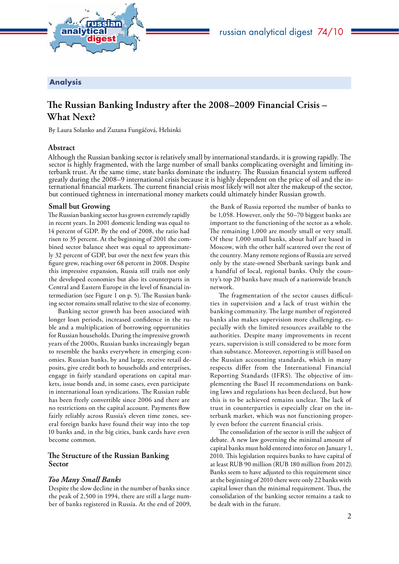<span id="page-1-0"></span>

## Analysis

# **The Russian Banking Industry after the 2008–2009 Financial Crisis – What Next?**

By Laura Solanko and Zuzana Fungáčová, Helsinki

### **Abstract**

Although the Russian banking sector is relatively small by international standards, it is growing rapidly. The terbank trust. At the same time, state banks dominate the industry. The Russian financial system suffered greatly during the 2008–9 international crisis because it is highly dependent on the price of oil and the international financial markets. The current financial crisis most likely will not alter the makeup of the sector, but continued tightness in international money markets could ultimately hinder Russian growth.

#### **Small but Growing**

The Russian banking sector has grown extremely rapidly in recent years. In 2001 domestic lending was equal to 14 percent of GDP. By the end of 2008, the ratio had risen to 35 percent. At the beginning of 2001 the combined sector balance sheet was equal to approximately 32 percent of GDP, but over the next few years this figure grew, reaching over 68 percent in 2008. Despite this impressive expansion, Russia still trails not only the developed economies but also its counterparts in Central and Eastern Europe in the level of financial intermediation (see Figure 1 on p. 5). The Russian banking sector remains small relative to the size of economy.

Banking sector growth has been associated with longer loan periods, increased confidence in the ruble and a multiplication of borrowing opportunities for Russian households. During the impressive growth years of the 2000s, Russian banks increasingly began to resemble the banks everywhere in emerging economies. Russian banks, by and large, receive retail deposits, give credit both to households and enterprises, engage in fairly standard operations on capital markets, issue bonds and, in some cases, even participate in international loan syndications. The Russian ruble has been freely convertible since 2006 and there are no restrictions on the capital account. Payments flow fairly reliably across Russia's eleven time zones, several foreign banks have found their way into the top 10 banks and, in the big cities, bank cards have even become common.

## **The Structure of the Russian Banking Sector**

#### *Too Many Small Banks*

Despite the slow decline in the number of banks since the peak of 2,500 in 1994, there are still a large number of banks registered in Russia. At the end of 2009,

the Bank of Russia reported the number of banks to be 1,058. However, only the 50–70 biggest banks are important to the functioning of the sector as a whole. The remaining 1,000 are mostly small or very small. Of these 1,000 small banks, about half are based in Moscow, with the other half scattered over the rest of the country. Many remote regions of Russia are served only by the state-owned Sberbank savings bank and a handful of local, regional banks. Only the country's top 20 banks have much of a nationwide branch network.

The fragmentation of the sector causes difficulties in supervision and a lack of trust within the banking community. The large number of registered banks also makes supervision more challenging, especially with the limited resources available to the authorities. Despite many improvements in recent years, supervision is still considered to be more form than substance. Moreover, reporting is still based on the Russian accounting standards, which in many respects differ from the International Financial Reporting Standards (IFRS). The objective of implementing the Basel II recommendations on banking laws and regulations has been declared, but how this is to be achieved remains unclear. The lack of trust in counterparties is especially clear on the interbank market, which was not functioning properly even before the current financial crisis.

The consolidation of the sector is still the subject of debate. A new law governing the minimal amount of capital banks must hold entered into force on January 1, 2010. This legislation requires banks to have capital of at least RUB 90 million (RUB 180 million from 2012). Banks seem to have adjusted to this requirement since at the beginning of 2010 there were only 22 banks with capital lower than the minimal requirement. Thus, the consolidation of the banking sector remains a task to be dealt with in the future.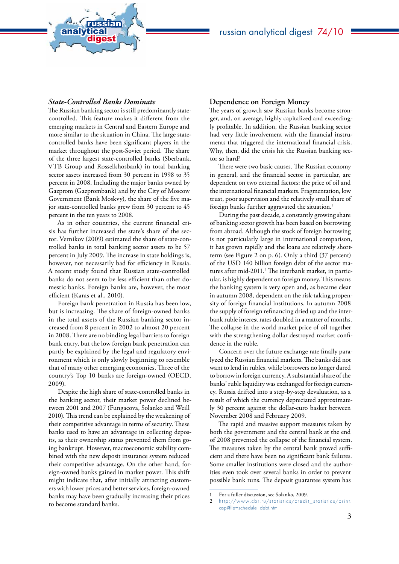

#### *State-Controlled Banks Dominate*

analytical<br>digest

russian

The Russian banking sector is still predominantly statecontrolled. This feature makes it different from the emerging markets in Central and Eastern Europe and more similar to the situation in China. The large statecontrolled banks have been significant players in the market throughout the post-Soviet period. The share of the three largest state-controlled banks (Sberbank, VTB Group and Rosselkhosbank) in total banking sector assets increased from 30 percent in 1998 to 35 percent in 2008. Including the major banks owned by Gazprom (Gazprombank) and by the City of Moscow Government (Bank Moskvy), the share of the five major state-controlled banks grew from 30 percent to 45 percent in the ten years to 2008.

As in other countries, the current financial crisis has further increased the state's share of the sector. Vernikov (2009) estimated the share of state-controlled banks in total banking sector assets to be 57 percent in July 2009. The increase in state holdings is, however, not necessarily bad for efficiency in Russia. A recent study found that Russian state-controlled banks do not seem to be less efficient than other domestic banks. Foreign banks are, however, the most efficient (Karas et al., 2010).

Foreign bank penetration in Russia has been low, but is increasing. The share of foreign-owned banks in the total assets of the Russian banking sector increased from 8 percent in 2002 to almost 20 percent in 2008. There are no binding legal barriers to foreign bank entry, but the low foreign bank penetration can partly be explained by the legal and regulatory environment which is only slowly beginning to resemble that of many other emerging economies. Three of the country's Top 10 banks are foreign-owned (OECD, 2009).

Despite the high share of state-controlled banks in the banking sector, their market power declined between 2001 and 2007 (Fungacova, Solanko and Weill 2010). This trend can be explained by the weakening of their competitive advantage in terms of security. These banks used to have an advantage in collecting deposits, as their ownership status prevented them from going bankrupt. However, macroeconomic stability combined with the new deposit insurance system reduced their competitive advantage. On the other hand, foreign-owned banks gained in market power. This shift might indicate that, after initially attracting customers with lower prices and better services, foreign-owned banks may have been gradually increasing their prices to become standard banks.

#### **Dependence on Foreign Money**

The years of growth saw Russian banks become stronger, and, on average, highly capitalized and exceedingly profitable. In addition, the Russian banking sector had very little involvement with the financial instruments that triggered the international financial crisis. Why, then, did the crisis hit the Russian banking sector so hard?

There were two basic causes. The Russian economy in general, and the financial sector in particular, are dependent on two external factors: the price of oil and the international financial markets. Fragmentation, low trust, poor supervision and the relatively small share of foreign banks further aggravated the situation.<sup>1</sup>

During the past decade, a constantly growing share of banking sector growth has been based on borrowing from abroad. Although the stock of foreign borrowing is not particularly large in international comparison, it has grown rapidly and the loans are relatively shortterm (see Figure 2 on p. 6). Only a third (37 percent) of the USD 140 billion foreign debt of the sector matures after mid-2011.<sup>2</sup> The interbank market, in particular, is highly dependent on foreign money. This means the banking system is very open and, as became clear in autumn 2008, dependent on the risk-taking propensity of foreign financial institutions. In autumn 2008 the supply of foreign refinancing dried up and the interbank ruble interest rates doubled in a matter of months. The collapse in the world market price of oil together with the strengthening dollar destroyed market confidence in the ruble.

Concern over the future exchange rate finally paralyzed the Russian financial markets. The banks did not want to lend in rubles, while borrowers no longer dared to borrow in foreign currency. A substantial share of the banks' ruble liquidity was exchanged for foreign currency. Russia drifted into a step-by-step devaluation, as a result of which the currency depreciated approximately 30 percent against the dollar-euro basket between November 2008 and February 2009.

The rapid and massive support measures taken by both the government and the central bank at the end of 2008 prevented the collapse of the financial system. The measures taken by the central bank proved sufficient and there have been no significant bank failures. Some smaller institutions were closed and the authorities even took over several banks in order to prevent possible bank runs. The deposit guarantee system has

<sup>1</sup> For a fuller discussion, see Solanko, 2009.

<sup>2</sup> http://www.cbr.ru/statistics/credit\_statistics/print. [asp?file=schedule\\_debt.htm](http://www.cbr.ru/statistics/credit_statistics/print.asp?file=schedule_debt.htm)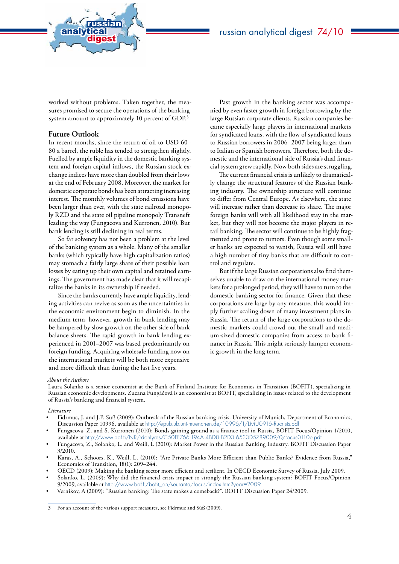

worked without problems. Taken together, the measures promised to secure the operations of the banking system amount to approximately 10 percent of GDP.3

## **Future Outlook**

analytical<br>digest

russian

In recent months, since the return of oil to USD 60– 80 a barrel, the ruble has tended to strengthen slightly. Fuelled by ample liquidity in the domestic banking system and foreign capital inflows, the Russian stock exchange indices have more than doubled from their lows at the end of February 2008. Moreover, the market for domestic corporate bonds has been attracting increasing interest. The monthly volumes of bond emissions have been larger than ever, with the state railroad monopoly RZD and the state oil pipeline monopoly Transneft leading the way (Fungacova and Kurronen, 2010). But bank lending is still declining in real terms.

So far solvency has not been a problem at the level of the banking system as a whole. Many of the smaller banks (which typically have high capitalization ratios) may stomach a fairly large share of their possible loan losses by eating up their own capital and retained earnings. The government has made clear that it will recapitalize the banks in its ownership if needed.

Since the banks currently have ample liquidity, lending activities can revive as soon as the uncertainties in the economic environment begin to diminish. In the medium term, however, growth in bank lending may be hampered by slow growth on the other side of bank balance sheets. The rapid growth in bank lending experienced in 2001–2007 was based predominantly on foreign funding. Acquiring wholesale funding now on the international markets will be both more expensive and more difficult than during the last five years.

Past growth in the banking sector was accompanied by even faster growth in foreign borrowing by the large Russian corporate clients. Russian companies became especially large players in international markets for syndicated loans, with the flow of syndicated loans to Russian borrowers in 2006–2007 being larger than to Italian or Spanish borrowers. Therefore, both the domestic and the international side of Russia's dual financial system grew rapidly. Now both sides are struggling.

The current financial crisis is unlikely to dramatically change the structural features of the Russian banking industry. The ownership structure will continue to differ from Central Europe. As elsewhere, the state will increase rather than decrease its share. The major foreign banks will with all likelihood stay in the market, but they will not become the major players in retail banking. The sector will continue to be highly fragmented and prone to rumors. Even though some smaller banks are expected to vanish, Russia will still have a high number of tiny banks that are difficult to control and regulate.

But if the large Russian corporations also find themselves unable to draw on the international money markets for a prolonged period, they will have to turn to the domestic banking sector for finance. Given that these corporations are large by any measure, this would imply further scaling down of many investment plans in Russia. The return of the large corporations to the domestic markets could crowd out the small and medium-sized domestic companies from access to bank finance in Russia. This might seriously hamper economic growth in the long term.

#### *About the Authors*

Laura Solanko is a senior economist at the Bank of Finland Institute for Economies in Transition (BOFIT), specializing in Russian economic developments. Zuzana Fungáčová is an economist at BOFIT, specializing in issues related to the development of Russia**'**s banking and financial system.

#### *Literature*

- Fidrmuc, J. and J.P. Süß (2009): Outbreak of the Russian banking crisis. University of Munich, Department of Economics, Discussion Paper 10996, available at <http://epub.ub.uni-muenchen.de/10996/1/LMU0916-Rucrisis.pdf>
- Fungacova, Z. and S. Kurronen (2010): Bonds gaining ground as a finance tool in Russia, BOFIT Focus/Opinion 1/2010, available at <http://www.bof.fi/NR/rdonlyres/C50FF766-194A-4BD8-B2D3-6533D5789009/0/focus0110e.pdf>
- Fungacova, Z., Solanko, L. and Weill, L (2010): Market Power in the Russian Banking Industry. BOFIT Discussion Paper 3/2010.
- Karas, A., Schoors, K., Weill, L. (2010): "Are Private Banks More Efficient than Public Banks? Evidence from Russia," Economics of Transition, 18(1): 209–244.
- OECD (2009): Making the banking sector more efficient and resilient. In OECD Economic Survey of Russia. July 2009.
- Solanko, L. (2009): Why did the financial crisis impact so strongly the Russian banking system? BOFIT Focus/Opinion 9/2009, available at [http://www.bof.fi/bofit\\_en/seuranta/focus/index.htm?year=2009](http://www.bof.fi/bofit_en/seuranta/focus/index.htm?year=2009)
- Vernikov, A (2009): "Russian banking: The state makes a comeback?". BOFIT Discussion Paper 24/2009.

<sup>3</sup> For an account of the various support measures, see Fidrmuc and Süß (2009).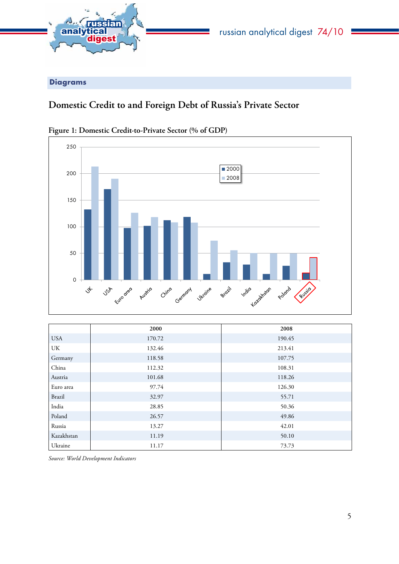<span id="page-4-0"></span>

Diagrams

# **Domestic Credit to and Foreign Debt of Russia's Private Sector**



**Figure 1: Domestic Credit-to-Private Sector (% of GDP)**

|            | 2000   | 2008   |
|------------|--------|--------|
| <b>USA</b> | 170.72 | 190.45 |
| UK         | 132.46 | 213.41 |
| Germany    | 118.58 | 107.75 |
| China      | 112.32 | 108.31 |
| Austria    | 101.68 | 118.26 |
| Euro area  | 97.74  | 126.30 |
| Brazil     | 32.97  | 55.71  |
| India      | 28.85  | 50.36  |
| Poland     | 26.57  | 49.86  |
| Russia     | 13.27  | 42.01  |
| Kazakhstan | 11.19  | 50.10  |
| Ukraine    | 11.17  | 73.73  |

*Source: World Development Indicators*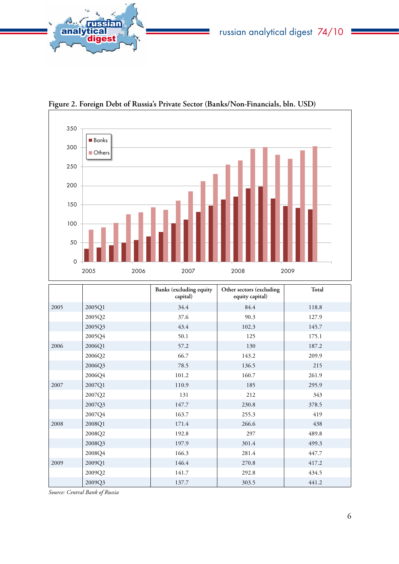



**Figure 2. Foreign Debt of Russia's Private Sector (Banks/Non-Financials, bln. USD)**

|      |        | <b>Banks</b> (excluding equity<br>capital) | Other sectors (excluding<br>equity capital) | Total |
|------|--------|--------------------------------------------|---------------------------------------------|-------|
| 2005 | 2005Q1 | 34.4                                       | 84.4                                        | 118.8 |
|      | 2005Q2 | 37.6                                       | 90.3                                        | 127.9 |
|      | 2005Q3 | 43.4                                       | 102.3                                       | 145.7 |
|      | 2005Q4 | 50.1                                       | 125                                         | 175.1 |
| 2006 | 2006Q1 | 57.2                                       | 130                                         | 187.2 |
|      | 2006Q2 | 66.7                                       | 143.2                                       | 209.9 |
|      | 2006Q3 | 78.5                                       | 136.5                                       | 215   |
|      | 2006Q4 | 101.2                                      | 160.7                                       | 261.9 |
| 2007 | 2007Q1 | 110.9                                      | 185                                         | 295.9 |
|      | 2007Q2 | 131                                        | 212                                         | 343   |
|      | 2007Q3 | 147.7                                      | 230.8                                       | 378.5 |
|      | 2007Q4 | 163.7                                      | 255.3                                       | 419   |
| 2008 | 2008Q1 | 171.4                                      | 266.6                                       | 438   |
|      | 2008Q2 | 192.8                                      | 297                                         | 489.8 |
|      | 2008Q3 | 197.9                                      | 301.4                                       | 499.3 |
|      | 2008Q4 | 166.3                                      | 281.4                                       | 447.7 |
| 2009 | 2009Q1 | 146.4                                      | 270.8                                       | 417.2 |
|      | 2009Q2 | 141.7                                      | 292.8                                       | 434.5 |
|      | 2009Q3 | 137.7                                      | 303.5                                       | 441.2 |

*Source: Central Bank of Russia*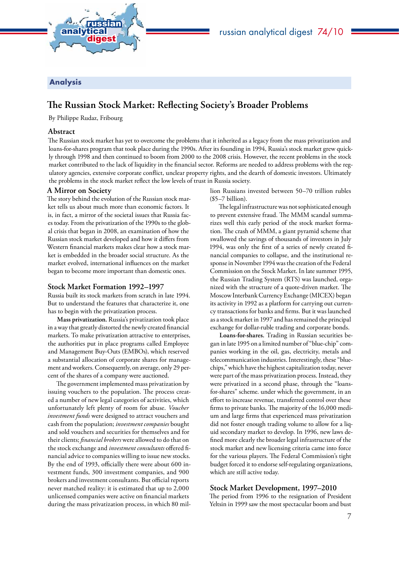

<span id="page-6-0"></span>

## Analysis

# **The Russian Stock Market: Reflecting Society's Broader Problems**

By Philippe Rudaz, Fribourg

## **Abstract**

The Russian stock market has yet to overcome the problems that it inherited as a legacy from the mass privatization and loans-for-shares program that took place during the 1990s. After its founding in 1994, Russia's stock market grew quickly through 1998 and then continued to boom from 2000 to the 2008 crisis. However, the recent problems in the stock market contributed to the lack of liquidity in the financial sector. Reforms are needed to address problems with the regulatory agencies, extensive corporate conflict, unclear property rights, and the dearth of domestic investors. Ultimately the problems in the stock market reflect the low levels of trust in Russia society.

## **A Mirror on Society**

The story behind the evolution of the Russian stock market tells us about much more than economic factors. It is, in fact, a mirror of the societal issues that Russia faces today. From the privatization of the 1990s to the global crisis that began in 2008, an examination of how the Russian stock market developed and how it differs from Western financial markets makes clear how a stock market is embedded in the broader social structure. As the market evolved, international influences on the market began to become more important than domestic ones.

## **Stock Market Formation 1992–1997**

Russia built its stock markets from scratch in late 1994. But to understand the features that characterize it, one has to begin with the privatization process.

**Mass privatization.** Russia's privatization took place in a way that greatly distorted the newly created financial markets. To make privatization attractive to enterprises, the authorities put in place programs called Employee and Management Buy-Outs (EMBOs), which reserved a substantial allocation of corporate shares for management and workers. Consequently, on average, only 29 percent of the shares of a company were auctioned.

The government implemented mass privatization by issuing vouchers to the population. The process created a number of new legal categories of activities, which unfortunately left plenty of room for abuse. *Voucher investment funds* were designed to attract vouchers and cash from the population; *investment companies* bought and sold vouchers and securities for themselves and for their clients; *financial brokers* were allowed to do that on the stock exchange and *investment consultants* offered financial advice to companies willing to issue new stocks. By the end of 1993, officially there were about 600 investment funds, 300 investment companies, and 900 brokers and investment consultants. But official reports never matched reality: it is estimated that up to 2,000 unlicensed companies were active on financial markets during the mass privatization process, in which 80 mil-

lion Russians invested between 50–70 trillion rubles  $($5–7 billion).$ 

The legal infrastructure was not sophisticated enough to prevent extensive fraud. The MMM scandal summarizes well this early period of the stock market formation. The crash of MMM, a giant pyramid scheme that swallowed the savings of thousands of investors in July 1994, was only the first of a series of newly created financial companies to collapse, and the institutional response in November 1994 was the creation of the Federal Commission on the Stock Market. In late summer 1995, the Russian Trading System (RTS) was launched, organized with the structure of a quote-driven market. The Moscow Interbank Currency Exchange (MICEX) began its activity in 1992 as a platform for carrying out currency transactions for banks and firms. But it was launched as a stock market in 1997 and has remained the principal exchange for dollar-ruble trading and corporate bonds.

**Loans-for-shares.** Trading in Russian securities began in late 1995 on a limited number of "blue-chip" companies working in the oil, gas, electricity, metals and telecommunication industries. Interestingly, these "bluechips," which have the highest capitalization today, never were part of the mass privatization process. Instead, they were privatized in a second phase, through the "loansfor-shares" scheme. under which the government, in an effort to increase revenue, transferred control over these firms to private banks. The majority of the 16,000 medium and large firms that experienced mass privatization did not foster enough trading volume to allow for a liquid secondary market to develop. In 1996, new laws defined more clearly the broader legal infrastructure of the stock market and new licensing criteria came into force for the various players. The Federal Commission's tight budget forced it to endorse self-regulating organizations, which are still active today.

## **Stock Market Development, 1997–2010**

The period from 1996 to the resignation of President Yeltsin in 1999 saw the most spectacular boom and bust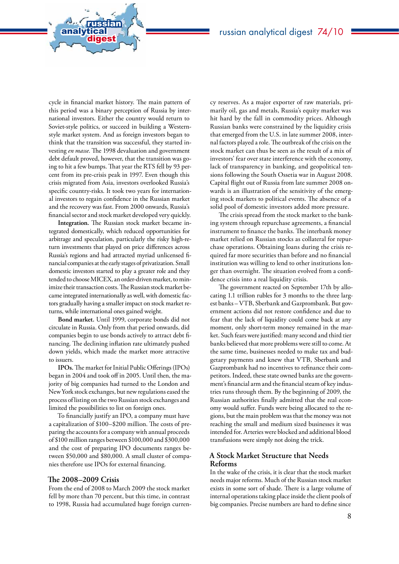cycle in financial market history. The main pattern of this period was a binary perception of Russia by international investors. Either the country would return to Soviet-style politics, or succeed in building a Westernstyle market system. And as foreign investors began to think that the transition was successful, they started investing *en masse*. The 1998 devaluation and government debt default proved, however, that the transition was going to hit a few bumps. That year the RTS fell by 93 percent from its pre-crisis peak in 1997. Even though this crisis migrated from Asia, investors overlooked Russia's specific country-risks. It took two years for international investors to regain confidence in the Russian market and the recovery was fast. From 2000 onwards, Russia's financial sector and stock market developed very quickly.

analytical<br>digest

russian

**Integration.** The Russian stock market became integrated domestically, which reduced opportunities for arbitrage and speculation, particularly the risky high-return investments that played on price differences across Russia's regions and had attracted myriad unlicensed financial companies at the early stages of privatization. Small domestic investors started to play a greater role and they tended to choose MICEX, an order-driven market, to minimize their transaction costs. The Russian stock market became integrated internationally as well, with domestic factors gradually having a smaller impact on stock market returns, while international ones gained weight.

**Bond market.** Until 1999, corporate bonds did not circulate in Russia. Only from that period onwards, did companies begin to use bonds actively to attract debt financing. The declining inflation rate ultimately pushed down yields, which made the market more attractive to issuers.

**IPOs.**The market for Initial Public Offerings (IPOs) began in 2004 and took off in 2005. Until then, the majority of big companies had turned to the London and New York stock exchanges, but new regulations eased the process of listing on the two Russian stock exchanges and limited the possibilities to list on foreign ones.

To financially justify an IPO, a company must have a capitalization of \$100–\$200 million. The costs of preparing the accounts for a company with annual proceeds of \$100 million ranges between \$100,000 and \$300,000 and the cost of preparing IPO documents ranges between \$50,000 and \$80,000. A small cluster of companies therefore use IPOs for external financing.

### **The 2008–2009 Crisis**

From the end of 2008 to March 2009 the stock market fell by more than 70 percent, but this time, in contrast to 1998, Russia had accumulated huge foreign currency reserves. As a major exporter of raw materials, primarily oil, gas and metals, Russia's equity market was hit hard by the fall in commodity prices. Although Russian banks were constrained by the liquidity crisis that emerged from the U.S. in late summer 2008, internal factors played a role. The outbreak of the crisis on the stock market can thus be seen as the result of a mix of investors' fear over state interference with the economy, lack of transparency in banking, and geopolitical tensions following the South Ossetia war in August 2008. Capital flight out of Russia from late summer 2008 onwards is an illustration of the sensitivity of the emerging stock markets to political events. The absence of a solid pool of domestic investors added more pressure.

The crisis spread from the stock market to the banking system through repurchase agreements, a financial instrument to finance the banks. The interbank money market relied on Russian stocks as collateral for repurchase operations. Obtaining loans during the crisis required far more securities than before and no financial institution was willing to lend to other institutions longer than overnight. The situation evolved from a confidence crisis into a real liquidity crisis.

The government reacted on September 17th by allocating 1.1 trillion rubles for 3 months to the three largest banks – VTB, Sberbank and Gazprombank. But government actions did not restore confidence and due to fear that the lack of liquidity could come back at any moment, only short-term money remained in the market. Such fears were justified: many second and third tier banks believed that more problems were still to come. At the same time, businesses needed to make tax and budgetary payments and knew that VTB, Sberbank and Gazprombank had no incentives to refinance their competitors. Indeed, these state owned banks are the government's financial arm and the financial steam of key industries runs through them. By the beginning of 2009, the Russian authorities finally admitted that the real economy would suffer. Funds were being allocated to the regions, but the main problem was that the money was not reaching the small and medium sized businesses it was intended for. Arteries were blocked and additional blood transfusions were simply not doing the trick.

### **A Stock Market Structure that Needs Reforms**

In the wake of the crisis, it is clear that the stock market needs major reforms. Much of the Russian stock market exists in some sort of shade. There is a large volume of internal operations taking place inside the client pools of big companies. Precise numbers are hard to define since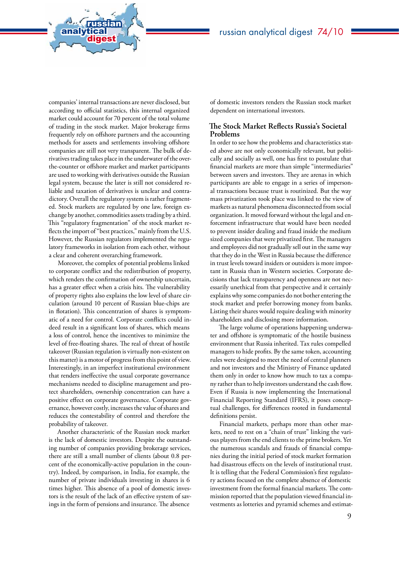companies' internal transactions are never disclosed, but according to official statistics, this internal organized market could account for 70 percent of the total volume of trading in the stock market. Major brokerage firms frequently rely on offshore partners and the accounting methods for assets and settlements involving offshore companies are still not very transparent. The bulk of derivatives trading takes place in the underwater of the overthe-counter or offshore market and market participants are used to working with derivatives outside the Russian legal system, because the later is still not considered reliable and taxation of derivatives is unclear and contradictory. Overall the regulatory system is rather fragmented. Stock markets are regulated by one law, foreign exchange by another, commodities assets trading by a third. This "regulatory fragmentation" of the stock market reflects the import of "best practices," mainly from the U.S. However, the Russian regulators implemented the regulatory frameworks in isolation from each other, without a clear and coherent overarching framework.

analytical<br>digest

russian

Moreover, the complex of potential problems linked to corporate conflict and the redistribution of property, which renders the confirmation of ownership uncertain, has a greater effect when a crisis hits. The vulnerability of property rights also explains the low level of share circulation (around 10 percent of Russian blue-chips are in flotation). This concentration of shares is symptomatic of a need for control. Corporate conflicts could indeed result in a significant loss of shares, which means a loss of control, hence the incentives to minimize the level of free-floating shares. The real of threat of hostile takeover (Russian regulation is virtually non-existent on this matter) is a motor of progress from this point of view. Interestingly, in an imperfect institutional environment that renders ineffective the usual corporate governance mechanisms needed to discipline management and protect shareholders, ownership concentration can have a positive effect on corporate governance. Corporate governance, however costly, increases the value of shares and reduces the contestability of control and therefore the probability of takeover.

Another characteristic of the Russian stock market is the lack of domestic investors. Despite the outstanding number of companies providing brokerage services, there are still a small number of clients (about 0.8 percent of the economically-active population in the country). Indeed, by comparison, in India, for example, the number of private individuals investing in shares is 6 times higher. This absence of a pool of domestic investors is the result of the lack of an effective system of savings in the form of pensions and insurance. The absence

of domestic investors renders the Russian stock market dependent on international investors.

#### **The Stock Market Reflects Russia's Societal Problems**

In order to see how the problems and characteristics stated above are not only economically relevant, but politically and socially as well, one has first to postulate that financial markets are more than simple "intermediaries" between savers and investors. They are arenas in which participants are able to engage in a series of impersonal transactions because trust is routinized. But the way mass privatization took place was linked to the view of markets as natural phenomena disconnected from social organization. It moved forward without the legal and enforcement infrastructure that would have been needed to prevent insider dealing and fraud inside the medium sized companies that were privatized first. The managers and employees did not gradually sell out in the same way that they do in the West in Russia because the difference in trust levels toward insiders or outsiders is more important in Russia than in Western societies. Corporate decisions that lack transparency and openness are not necessarily unethical from that perspective and it certainly explains why some companies do not bother entering the stock market and prefer borrowing money from banks. Listing their shares would require dealing with minority shareholders and disclosing more information.

The large volume of operations happening underwater and offshore is symptomatic of the hostile business environment that Russia inherited. Tax rules compelled managers to hide profits. By the same token, accounting rules were designed to meet the need of central planners and not investors and the Ministry of Finance updated them only in order to know how much to tax a company rather than to help investors understand the cash flow. Even if Russia is now implementing the International Financial Reporting Standard (IFRS), it poses conceptual challenges, for differences rooted in fundamental definitions persist.

Financial markets, perhaps more than other markets, need to rest on a "chain of trust" linking the various players from the end clients to the prime brokers. Yet the numerous scandals and frauds of financial companies during the initial period of stock market formation had disastrous effects on the levels of institutional trust. It is telling that the Federal Commission's first regulatory actions focused on the complete absence of domestic investment from the formal financial markets. The commission reported that the population viewed financial investments as lotteries and pyramid schemes and estimat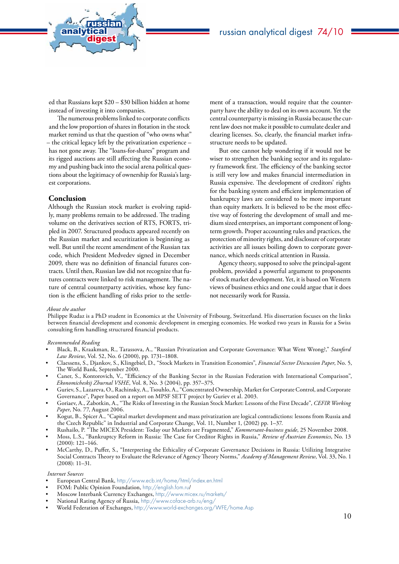ed that Russians kept \$20 – \$30 billion hidden at home instead of investing it into companies.

analytical<br>digest

russian

The numerous problems linked to corporate conflicts and the low proportion of shares in flotation in the stock market remind us that the question of "who owns what" – the critical legacy left by the privatization experience – has not gone away. The "loans-for-shares" program and its rigged auctions are still affecting the Russian economy and pushing back into the social arena political questions about the legitimacy of ownership for Russia's largest corporations.

#### **Conclusion**

Although the Russian stock market is evolving rapidly, many problems remain to be addressed. The trading volume on the derivatives section of RTS, FORTS, tripled in 2007. Structured products appeared recently on the Russian market and securitization is beginning as well. But until the recent amendment of the Russian tax code, which President Medvedev signed in December 2009, there was no definition of financial futures contracts. Until then, Russian law did not recognize that futures contracts were linked to risk management. The nature of central counterparty activities, whose key function is the efficient handling of risks prior to the settlement of a transaction, would require that the counterparty have the ability to deal on its own account. Yet the central counterparty is missing in Russia because the current law does not make it possible to cumulate dealer and clearing licenses. So, clearly, the financial market infrastructure needs to be updated.

But one cannot help wondering if it would not be wiser to strengthen the banking sector and its regulatory framework first. The efficiency of the banking sector is still very low and makes financial intermediation in Russia expensive. The development of creditors' rights for the banking system and efficient implementation of bankruptcy laws are considered to be more important than equity markets. It is believed to be the most effective way of fostering the development of small and medium sized enterprises, an important component of longterm growth. Proper accounting rules and practices, the protection of minority rights, and disclosure of corporate activities are all issues boiling down to corporate governance, which needs critical attention in Russia.

Agency theory, supposed to solve the principal-agent problem, provided a powerful argument to proponents of stock market development. Yet, it is based on Western views of business ethics and one could argue that it does not necessarily work for Russia.

#### *About the author*

Philippe Rudaz is a PhD student in Economics at the University of Fribourg, Switzerland. His dissertation focuses on the links between financial development and economic development in emerging economies. He worked two years in Russia for a Swiss consulting firm handling structured financial products.

*Recommended Reading*

- Black, B., Kraakman, R., Tarassova, A., "Russian Privatization and Corporate Governance: What Went Wrong?," *Stanford Law Review*, Vol. 52, No. 6 (2000), pp. 1731–1808.
- Claessens, S., Djankov, S., Klingebiel, D., "Stock Markets in Transition Economies", *Financial Sector Discussion Paper*, No. 5, The World Bank, September 2000.
- Caner, S., Kontorovich, V., "Efficiency of the Banking Sector in the Russian Federation with International Comparison", *Ekonomicheskij Zhurnal VSHE*, Vol. 8, No. 3 (2004), pp. 357–375.
- Guriev, S., Lazareva, O., Rachinsky, A., Tsouhlo, A., "Concentrated Ownership, Market for Corporate Control, and Corporate Governance", Paper based on a report on MPSF SETT project by Guriev et al. 2003.
- Goriaev, A., Zabotkin, A., "The Risks of Investing in the Russian Stock Market: Lessons of the First Decade", *CEFIR Working Paper*, No. 77, August 2006.
- Kogut, B., Spicer A., "Capital market development and mass privatization are logical contradictions: lessons from Russia and the Czech Republic" in Industrial and Corporate Change, Vol. 11, Number 1, (2002) pp. 1–37.
- Rushailo, P. "The MICEX President: Today our Markets are Fragmented," *Kommersant-business guide*, 25 November 2008.
- Moss, L.S., "Bankruptcy Reform in Russia: The Case for Creditor Rights in Russia," *Review of Austrian Economics*, No. 13 (2000): 121–146.
- McCarthy, D., Puffer, S., "Interpreting the Ethicality of Corporate Governance Decisions in Russia: Utilizing Integrative Social Contracts Theory to Evaluate the Relevance of Agency Theory Norms," *Academy of Management Review*, Vol. 33, No. 1 (2008): 11–31.

#### *Internet Sources*

- European Central Bank, <http://www.ecb.int/home/html/index.en.html>
- FOM: Public Opinion Foundation, <http://english.fom.ru>/
- Moscow Interbank Currency Exchanges, <http://www.micex.ru/markets/>
- National Rating Agency of Russia, <http://www.coface-arb.ru/eng/>
- World Federation of Exchanges, <http://www.world-exchanges.org/WFE/home.Asp>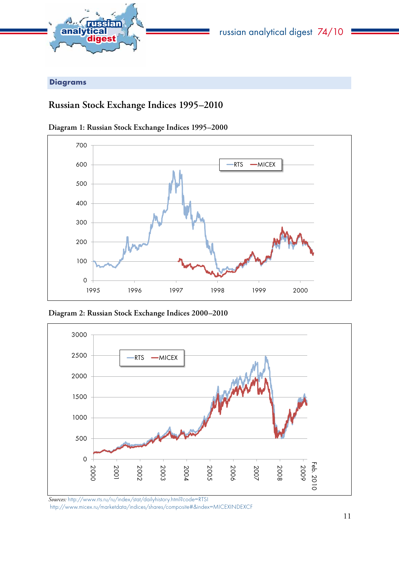<span id="page-10-0"></span>

Diagrams

# **Russian Stock Exchange Indices 1995–2010**



**Diagram 1: Russian Stock Exchange Indices 1995–2000**

**Diagram 2: Russian Stock Exchange Indices 2000–2010**



*Sources:* http://www.rts.ru/ru/index/stat/dailyhistory.html?code=RTSI http://www.micex.ru/marketdata/indices/shares/composite#&index=MICEXINDEXCF